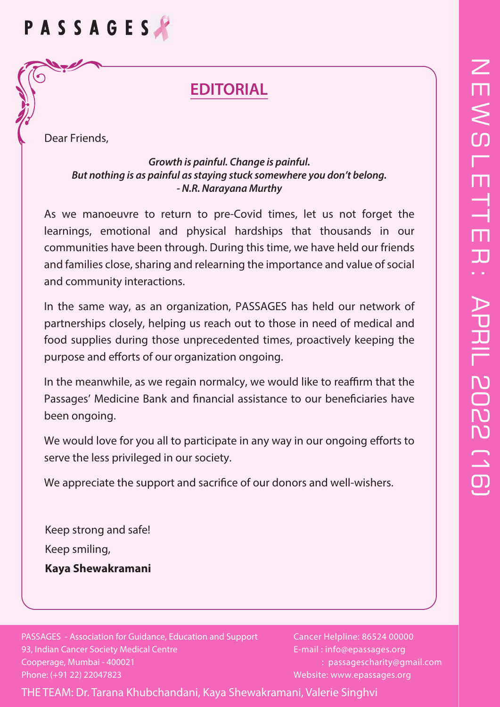# $\overline{Z}$  $\overline{\mathsf{H}}$  $\lesssim$ l<br>T T T  $\Box$  $\overline{\mathcal{L}}$ :**APRIL 2022 (16)** APRIL 2022 (16)

# PASSAGES

# **EDITORIAL**

Dear Friends,

 $\blacktriangleright$ 

#### *Growth is painful. Change is painful. But nothing is as painful as staying stuck somewhere you don't belong. - N.R. Narayana Murthy*

As we manoeuvre to return to pre-Covid times, let us not forget the learnings, emotional and physical hardships that thousands in our communities have been through. During this time, we have held our friends and families close, sharing and relearning the importance and value of social and community interactions.

In the same way, as an organization, PASSAGES has held our network of partnerships closely, helping us reach out to those in need of medical and food supplies during those unprecedented times, proactively keeping the purpose and efforts of our organization ongoing.

In the meanwhile, as we regain normalcy, we would like to reaffirm that the Passages' Medicine Bank and financial assistance to our beneficiaries have been ongoing.

We would love for you all to participate in any way in our ongoing efforts to serve the less privileged in our society.

We appreciate the support and sacrifice of our donors and well-wishers.

Keep strong and safe! Keep smiling, **Kaya Shewakramani**

PASSAGES - Association for Guidance, Education and Support 93, Indian Cancer Society Medical Centre Cooperage, Mumbai - 400021 Phone: (+91 22) 22047823

Cancer Helpline: 86524 00000 E-mail : info@epassages.org : passagescharity@gmail.com Website: www.epassages.org

THE TEAM: Dr. Tarana Khubchandani, Kaya Shewakramani, Valerie Singhvi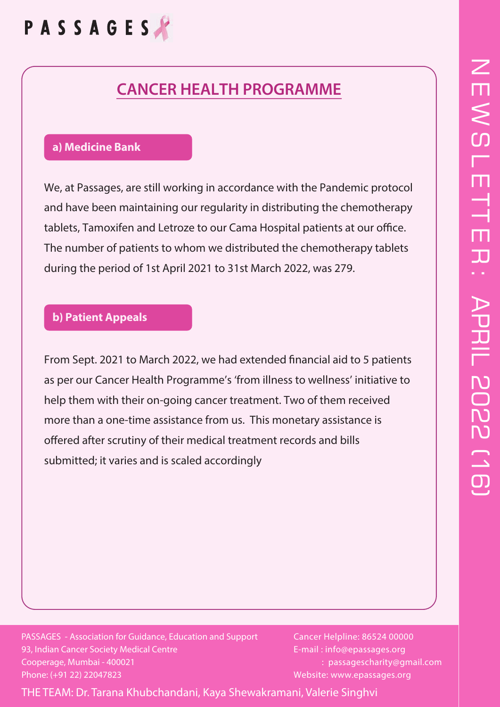# PASSAGES

### **CANCER HEALTH PROGRAMME**

#### **a) Medicine Bank**

We, at Passages, are still working in accordance with the Pandemic protocol and have been maintaining our regularity in distributing the chemotherapy tablets, Tamoxifen and Letroze to our Cama Hospital patients at our office. The number of patients to whom we distributed the chemotherapy tablets during the period of 1st April 2021 to 31st March 2022, was 279.

#### **b) Patient Appeals**

From Sept. 2021 to March 2022, we had extended financial aid to 5 patients as per our Cancer Health Programme's 'from illness to wellness' initiative to help them with their on-going cancer treatment. Two of them received more than a one-time assistance from us. This monetary assistance is offered after scrutiny of their medical treatment records and bills submitted; it varies and is scaled accordingly

PASSAGES - Association for Guidance, Education and Support 93, Indian Cancer Society Medical Centre Cooperage, Mumbai - 400021 Phone: (+91 22) 22047823

Cancer Helpline: 86524 00000 E-mail : info@epassages.org : passagescharity@gmail.com Website: www.epassages.org

THE TEAM: Dr. Tarana Khubchandani, Kaya Shewakramani, Valerie Singhvi